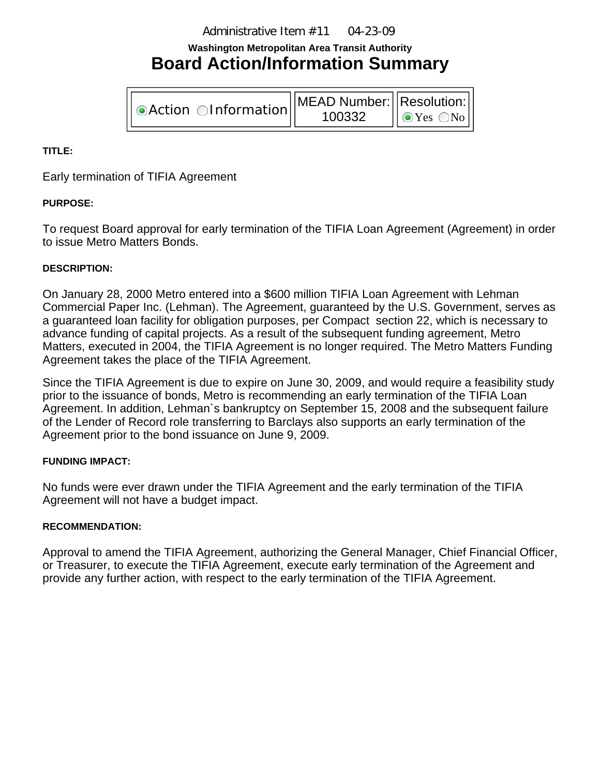Administrative Item #11 04-23-09

# **Washington Metropolitan Area Transit Authority Board Action/Information Summary**

**OAction OInformation MEAD Number:** 100332 Resolution:  $\odot$ Yes  $\odot$ No

## **TITLE:**

Early termination of TIFIA Agreement

## **PURPOSE:**

To request Board approval for early termination of the TIFIA Loan Agreement (Agreement) in order to issue Metro Matters Bonds.

#### **DESCRIPTION:**

On January 28, 2000 Metro entered into a \$600 million TIFIA Loan Agreement with Lehman Commercial Paper Inc. (Lehman). The Agreement, guaranteed by the U.S. Government, serves as a guaranteed loan facility for obligation purposes, per Compact section 22, which is necessary to advance funding of capital projects. As a result of the subsequent funding agreement, Metro Matters, executed in 2004, the TIFIA Agreement is no longer required. The Metro Matters Funding Agreement takes the place of the TIFIA Agreement.

Since the TIFIA Agreement is due to expire on June 30, 2009, and would require a feasibility study prior to the issuance of bonds, Metro is recommending an early termination of the TIFIA Loan Agreement. In addition, Lehman`s bankruptcy on September 15, 2008 and the subsequent failure of the Lender of Record role transferring to Barclays also supports an early termination of the Agreement prior to the bond issuance on June 9, 2009.

#### **FUNDING IMPACT:**

No funds were ever drawn under the TIFIA Agreement and the early termination of the TIFIA Agreement will not have a budget impact.

#### **RECOMMENDATION:**

Approval to amend the TIFIA Agreement, authorizing the General Manager, Chief Financial Officer, or Treasurer, to execute the TIFIA Agreement, execute early termination of the Agreement and provide any further action, with respect to the early termination of the TIFIA Agreement.